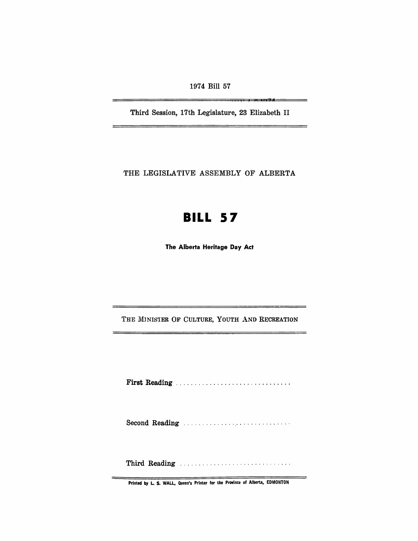1974 Bill 57

, **,** 

Third Session, 17th Legislature, 23 Elizabeth II

THE LEGISLATIVE ASSEMBLY OF ALBERTA

# **BILL 57**

The Alberta Heritage Day Act

THE MINISTER OF CULTURE, YOUTH AND RECREATION

First Reading . . . . . . . . . . . . . . . . . . . . . . ........ .

Second Reading

Third Reading ............................. .

 $\equiv$ 

Printed by L. S. WALL, Queen's Printer for the Province of Alberta, EDMONTON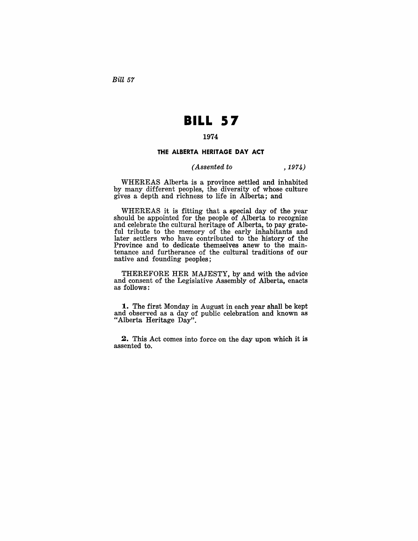Bill 57

# **BILL 57**

## 1974

### **THE ALBERTA HERITAGE DAY ACT**

#### *(Assented to* , 1974)

WHEREAS Alberta is a province settled and inhabited by many different peoples, the diversity of whose culture gives a depth and richness to life in Alberta; and

WHEREAS it is fitting that a special day of the year should be appointed for the people of Alberta to recognize and celebrate the cultural heritage of Alberta, to pay grateful tribute to the memory of the early inhabitants and later settlers who have contributed to the history of the Province and to dedicate themselves anew to the maintenance and furtherance of the cultural traditions of our native and founding peoples;

THEREFORE HER MAJESTY, by and with the advice and consent of the Legislative Assembly of Alberta, enacts as follows:

**1.** The first Monday in August in each year shall be kept and observed as a day of public celebration and known as "Alberta Heritage Day".

2. This Act comes into force on the day upon which it is assented to.